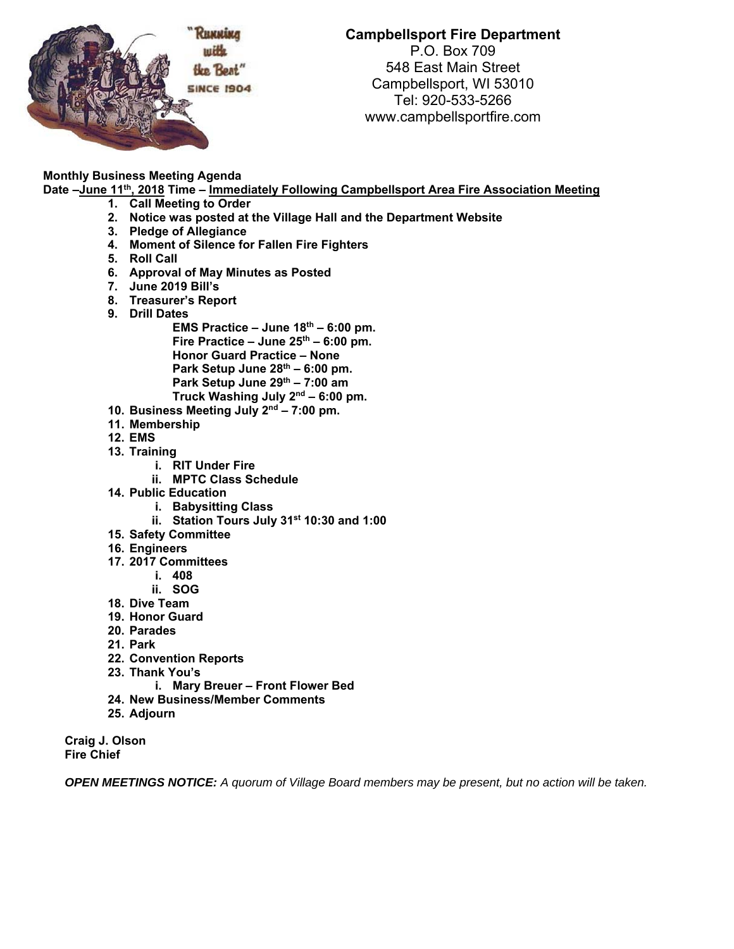

## **Campbellsport Fire Department**  P.O. Box 709

548 East Main Street Campbellsport, WI 53010 Tel: 920-533-5266 www.campbellsportfire.com

## **Monthly Business Meeting Agenda**

Date -June 11<sup>th</sup>, 2018 Time - Immediately Following Campbellsport Area Fire Association Meeting

- **1. Call Meeting to Order**
- **2. Notice was posted at the Village Hall and the Department Website**
- **3. Pledge of Allegiance**
- **4. Moment of Silence for Fallen Fire Fighters**
- **5. Roll Call**
- **6. Approval of May Minutes as Posted**
- **7. June 2019 Bill's**
- **8. Treasurer's Report**
- **9. Drill Dates**

**EMS Practice – June 18th – 6:00 pm.**  Fire Practice – June 25<sup>th</sup> – 6:00 pm. **Honor Guard Practice – None Park Setup June 28th – 6:00 pm.**  Park Setup June 29<sup>th</sup> – 7:00 am **Truck Washing July 2nd – 6:00 pm.** 

- **10. Business Meeting July 2nd 7:00 pm.**
- **11. Membership**
- **12. EMS**
- **13. Training** 
	- **i. RIT Under Fire**
	- **ii. MPTC Class Schedule**
- **14. Public Education** 
	- **i. Babysitting Class**
	- **ii. Station Tours July 31st 10:30 and 1:00**
- **15. Safety Committee**
- **16. Engineers**
- **17. 2017 Committees** 
	- **i. 408**
	- **ii. SOG**
- **18. Dive Team**
- **19. Honor Guard**
- **20. Parades**
- **21. Park**
- **22. Convention Reports**
- **23. Thank You's** 
	- **i. Mary Breuer Front Flower Bed**
- **24. New Business/Member Comments**
- **25. Adjourn**

**Craig J. Olson Fire Chief** 

*OPEN MEETINGS NOTICE: A quorum of Village Board members may be present, but no action will be taken.*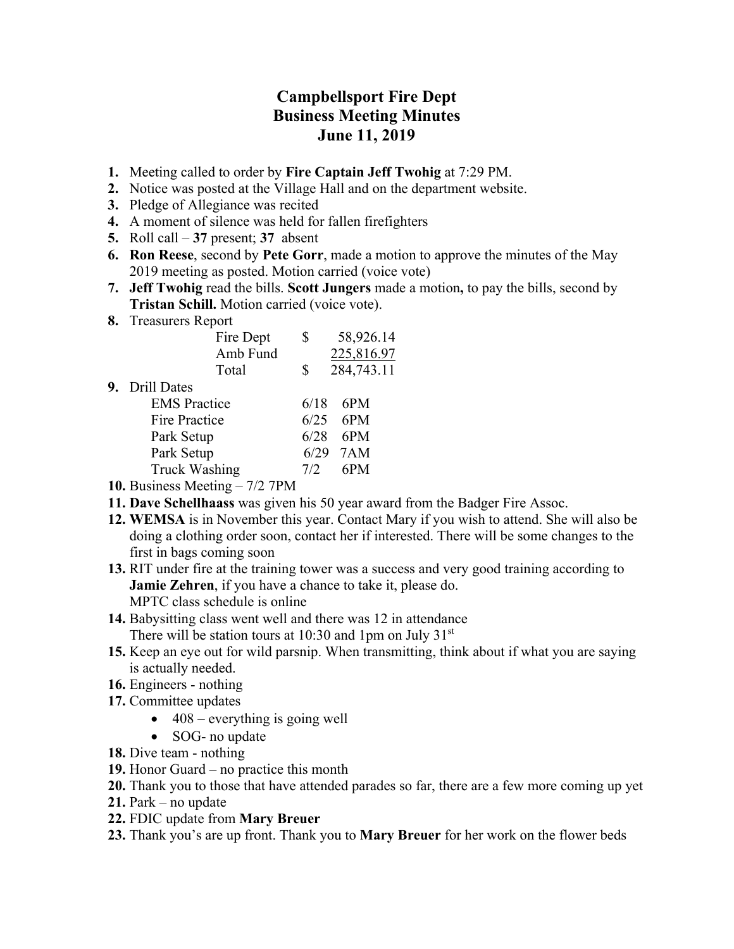## **Campbellsport Fire Dept Business Meeting Minutes June 11, 2019**

- **1.** Meeting called to order by **Fire Captain Jeff Twohig** at 7:29 PM.
- **2.** Notice was posted at the Village Hall and on the department website.
- **3.** Pledge of Allegiance was recited
- **4.** A moment of silence was held for fallen firefighters
- **5.** Roll call **37** present; **37** absent
- **6. Ron Reese**, second by **Pete Gorr**, made a motion to approve the minutes of the May 2019 meeting as posted. Motion carried (voice vote)
- **7. Jeff Twohig** read the bills. **Scott Jungers** made a motion**,** to pay the bills, second by **Tristan Schill.** Motion carried (voice vote).
- **8.** Treasurers Report

|    | Fire Dept            | \$   | 58,926.14  |
|----|----------------------|------|------------|
|    | Amb Fund             |      | 225,816.97 |
|    | Total                | \$   | 284,743.11 |
| 9. | <b>Drill Dates</b>   |      |            |
|    | <b>EMS</b> Practice  | 6/18 | 6PM        |
|    | Fire Practice        | 6/25 | 6PM        |
|    | Park Setup           | 6/28 | 6PM        |
|    | Park Setup           | 6/29 | 7AM        |
|    | <b>Truck Washing</b> | 7/2  | 6PM        |
|    |                      |      |            |

- **10.** Business Meeting 7/2 7PM
- **11. Dave Schellhaass** was given his 50 year award from the Badger Fire Assoc.
- **12. WEMSA** is in November this year. Contact Mary if you wish to attend. She will also be doing a clothing order soon, contact her if interested. There will be some changes to the first in bags coming soon
- **13.** RIT under fire at the training tower was a success and very good training according to **Jamie Zehren**, if you have a chance to take it, please do. MPTC class schedule is online
- **14.** Babysitting class went well and there was 12 in attendance There will be station tours at  $10:30$  and 1pm on July  $31<sup>st</sup>$
- **15.** Keep an eye out for wild parsnip. When transmitting, think about if what you are saying is actually needed.
- **16.** Engineers nothing
- **17.** Committee updates
	- $\bullet$  408 everything is going well
	- SOG- no update
- **18.** Dive team nothing
- **19.** Honor Guard no practice this month
- **20.** Thank you to those that have attended parades so far, there are a few more coming up yet
- **21.** Park no update
- **22.** FDIC update from **Mary Breuer**
- **23.** Thank you's are up front. Thank you to **Mary Breuer** for her work on the flower beds